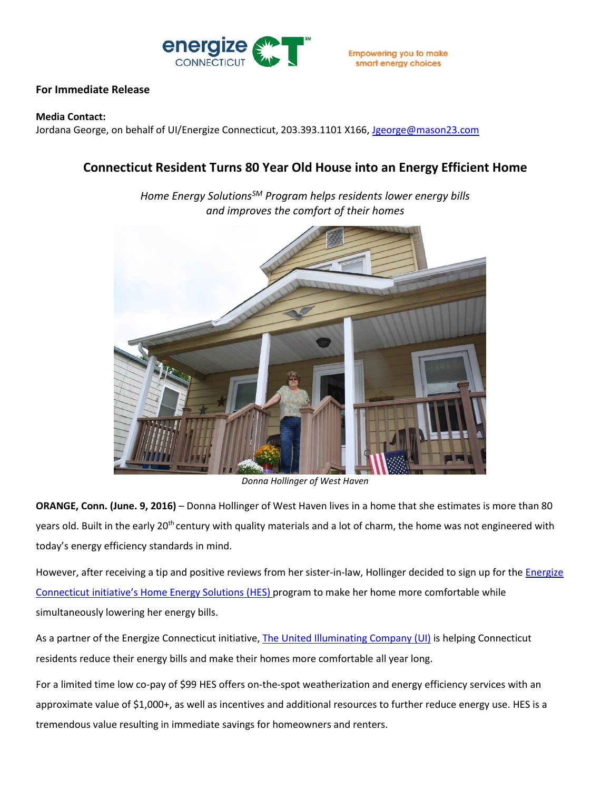

## **For Immediate Release**

## **Media Contact:**

Jordana George, on behalf of UI/Energize Connecticut, 203.393.1101 X166, [Jgeorge@mason23.com](mailto:Jgeorge@mason23.com)

## **Connecticut Resident Turns 80 Year Old House into an Energy Efficient Home**

*Home Energy SolutionsSM Program helps residents lower energy bills and improves the comfort of their homes*



*Donna Hollinger of West Haven*

**ORANGE, Conn. (June. 9, 2016)** – Donna Hollinger of West Haven lives in a home that she estimates is more than 80 years old. Built in the early 20<sup>th</sup> century with quality materials and a lot of charm, the home was not engineered with today's energy efficiency standards in mind.

However, after receiving a tip and positive reviews from her sister-in-law, Hollinger decided to sign up for the *Energize* [Connecticut](http://www.energizect.com/?vsrefdom=public-relations&utm_campaign=hes-customer-survey-release&utm_medium=public-relations&utm_source=ui-media-list&utm_content=&utm_term=) initiative's [Home Energy Solutions \(HES\)](http://www.energizect.com/your-home/solutions-list/home-energy-solutions-core-services?vsrefdom=public-relations&utm_campaign=hes-customer-survey-release&utm_medium=public-relations&utm_source=ui-media-list&utm_content=&utm_term=) program to make her home more comfortable while simultaneously lowering her energy bills.

As a partner of the Energize Connecticut initiative, [The United Illuminating Company \(UI\)](http://www.uinet.com/?vsrefdom=public-relations&utm_campaign=hes-customer-survey-release&utm_medium=public-relations&utm_source=ui-media-list&utm_content=&utm_term=) is helping Connecticut residents reduce their energy bills and make their homes more comfortable all year long.

For a limited time low co-pay of \$99 HES offers on-the-spot weatherization and energy efficiency services with an approximate value of \$1,000+, as well as incentives and additional resources to further reduce energy use. HES is a tremendous value resulting in immediate savings for homeowners and renters.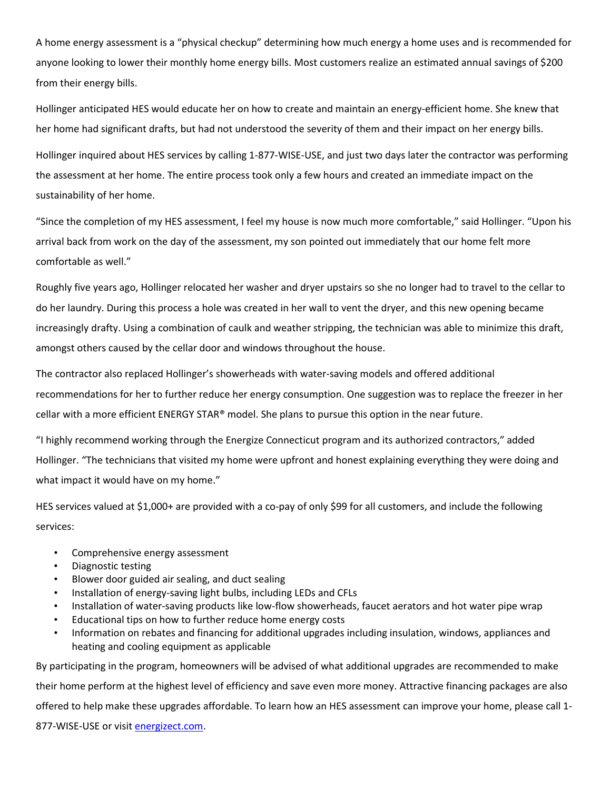A home energy assessment is a "physical checkup" determining how much energy a home uses and is recommended for anyone looking to lower their monthly home energy bills. Most customers realize an estimated annual savings of \$200 from their energy bills.

Hollinger anticipated HES would educate her on how to create and maintain an energy-efficient home. She knew that her home had significant drafts, but had not understood the severity of them and their impact on her energy bills.

Hollinger inquired about HES services by calling 1-877-WISE-USE, and just two days later the contractor was performing the assessment at her home. The entire process took only a few hours and created an immediate impact on the sustainability of her home.

"Since the completion of my HES assessment, I feel my house is now much more comfortable," said Hollinger. "Upon his arrival back from work on the day of the assessment, my son pointed out immediately that our home felt more comfortable as well."

Roughly five years ago, Hollinger relocated her washer and dryer upstairs so she no longer had to travel to the cellar to do her laundry. During this process a hole was created in her wall to vent the dryer, and this new opening became increasingly drafty. Using a combination of caulk and weather stripping, the technician was able to minimize this draft, amongst others caused by the cellar door and windows throughout the house.

The contractor also replaced Hollinger's showerheads with water-saving models and offered additional recommendations for her to further reduce her energy consumption. One suggestion was to replace the freezer in her cellar with a more efficient ENERGY STAR® model. She plans to pursue this option in the near future.

"I highly recommend working through the Energize Connecticut program and its authorized contractors," added Hollinger. "The technicians that visited my home were upfront and honest explaining everything they were doing and what impact it would have on my home."

HES services valued at \$1,000+ are provided with a co-pay of only \$99 for all customers, and include the following services:

- Comprehensive energy assessment
- Diagnostic testing
- Blower door guided air sealing, and duct sealing
- Installation of energy-saving light bulbs, including LEDs and CFLs
- Installation of water-saving products like low-flow showerheads, faucet aerators and hot water pipe wrap
- Educational tips on how to further reduce home energy costs
- Information on rebates and financing for additional upgrades including insulation, windows, appliances and heating and cooling equipment as applicable

By participating in the program, homeowners will be advised of what additional upgrades are recommended to make their home perform at the highest level of efficiency and save even more money. Attractive financing packages are also offered to help make these upgrades affordable. To learn how an HES assessment can improve your home, please call 1- 877-WISE-USE or visit [energizect.com.](http://www.energizect.com/?vsrefdom=public-relations&utm_campaign=hes-customer-survey-release&utm_medium=public-relations&utm_source=ui-media-list&utm_content=&utm_term=)